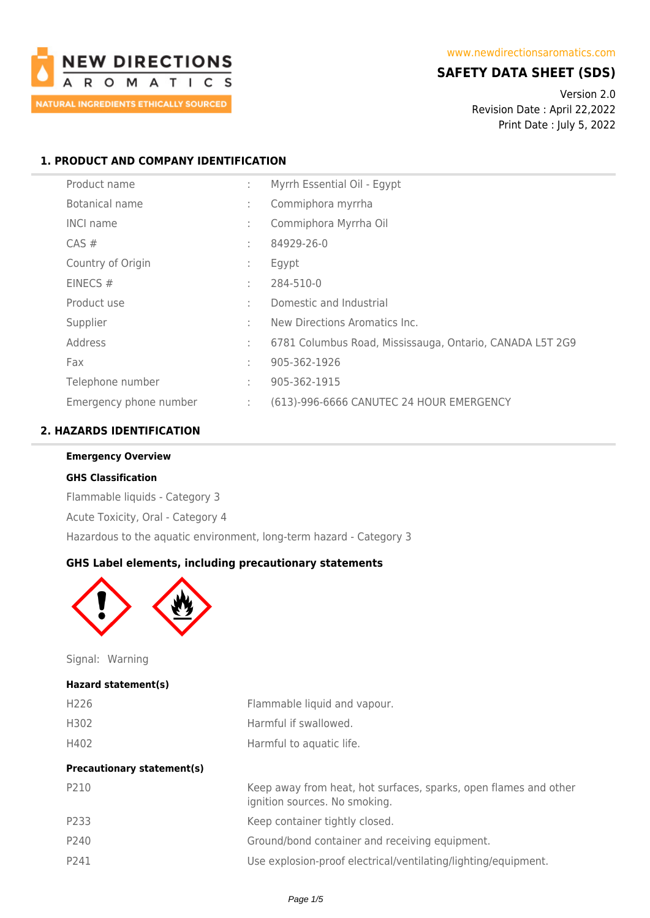

# **SAFETY DATA SHEET (SDS)**

Version 2.0 Revision Date : April 22,2022 Print Date : July 5, 2022

## **1. PRODUCT AND COMPANY IDENTIFICATION**

| Product name           | ÷ | Myrrh Essential Oil - Egypt                              |
|------------------------|---|----------------------------------------------------------|
| Botanical name         | ÷ | Commiphora myrrha                                        |
| <b>INCI name</b>       | ÷ | Commiphora Myrrha Oil                                    |
| CAS#                   | ٠ | 84929-26-0                                               |
| Country of Origin      | ÷ | Egypt                                                    |
| EINECS $#$             | ÷ | 284-510-0                                                |
| Product use            | ÷ | Domestic and Industrial                                  |
| Supplier               | ÷ | New Directions Aromatics Inc.                            |
| Address                | ÷ | 6781 Columbus Road, Mississauga, Ontario, CANADA L5T 2G9 |
| Fax                    | ÷ | 905-362-1926                                             |
| Telephone number       | ÷ | 905-362-1915                                             |
| Emergency phone number | ÷ | (613)-996-6666 CANUTEC 24 HOUR EMERGENCY                 |

# **2. HAZARDS IDENTIFICATION**

#### **GHS Classification**

Flammable liquids - Category 3 Acute Toxicity, Oral - Category 4 Hazardous to the aquatic environment, long-term hazard - Category 3

## **GHS Label elements, including precautionary statements**



Signal: Warning

#### **Hazard statement(s)**

| H226 | Flammable liquid and vapour. |
|------|------------------------------|
| H302 | Harmful if swallowed.        |
| H402 | Harmful to aquatic life.     |

| <b>Precautionary statement(s)</b> |                                                                                                   |
|-----------------------------------|---------------------------------------------------------------------------------------------------|
| P210                              | Keep away from heat, hot surfaces, sparks, open flames and other<br>ignition sources. No smoking. |
| P233                              | Keep container tightly closed.                                                                    |
| P240                              | Ground/bond container and receiving equipment.                                                    |
| P241                              | Use explosion-proof electrical/ventilating/lighting/equipment.                                    |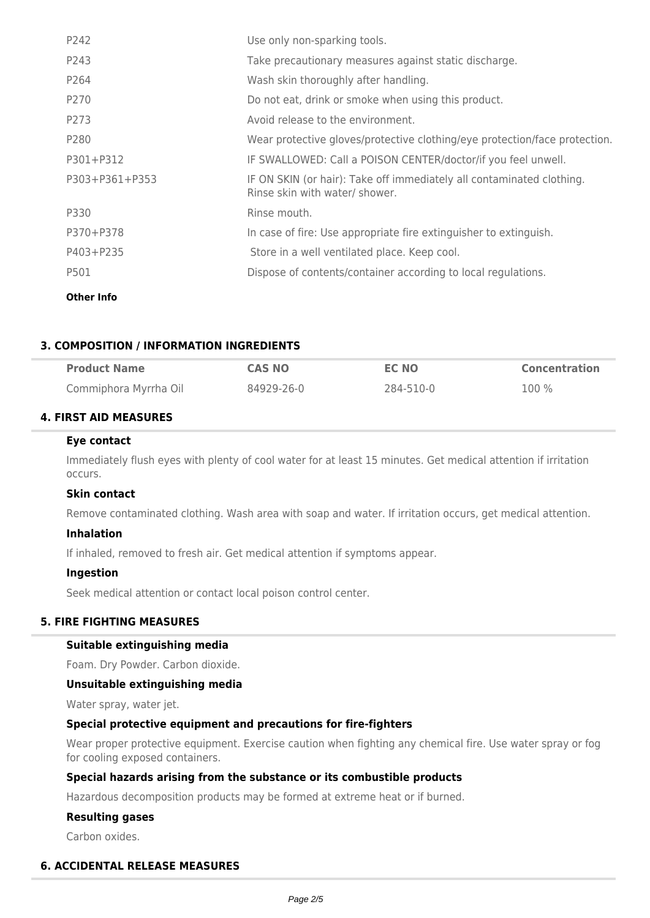| Use only non-sparking tools.                                                                            |
|---------------------------------------------------------------------------------------------------------|
| Take precautionary measures against static discharge.                                                   |
| Wash skin thoroughly after handling.                                                                    |
| Do not eat, drink or smoke when using this product.                                                     |
| Avoid release to the environment.                                                                       |
| Wear protective gloves/protective clothing/eye protection/face protection.                              |
| IF SWALLOWED: Call a POISON CENTER/doctor/if you feel unwell.                                           |
| IF ON SKIN (or hair): Take off immediately all contaminated clothing.<br>Rinse skin with water/ shower. |
| Rinse mouth.                                                                                            |
| In case of fire: Use appropriate fire extinguisher to extinguish.                                       |
| Store in a well ventilated place. Keep cool.                                                            |
| Dispose of contents/container according to local regulations.                                           |
|                                                                                                         |

**Other Info**

## **3. COMPOSITION / INFORMATION INGREDIENTS**

| <b>Product Name</b>   | CAS NO     | EC NO     | <b>Concentration</b> |
|-----------------------|------------|-----------|----------------------|
| Commiphora Myrrha Oil | 84929-26-0 | 284-510-0 | 100 %                |

## **4. FIRST AID MEASURES**

#### **Eye contact**

Immediately flush eyes with plenty of cool water for at least 15 minutes. Get medical attention if irritation occurs.

## **Skin contact**

Remove contaminated clothing. Wash area with soap and water. If irritation occurs, get medical attention.

## **Inhalation**

If inhaled, removed to fresh air. Get medical attention if symptoms appear.

## **Ingestion**

Seek medical attention or contact local poison control center.

## **5. FIRE FIGHTING MEASURES**

## **Suitable extinguishing media**

Foam. Dry Powder. Carbon dioxide.

## **Unsuitable extinguishing media**

Water spray, water jet.

## **Special protective equipment and precautions for fire-fighters**

Wear proper protective equipment. Exercise caution when fighting any chemical fire. Use water spray or fog for cooling exposed containers.

## **Special hazards arising from the substance or its combustible products**

Hazardous decomposition products may be formed at extreme heat or if burned.

## **Resulting gases**

Carbon oxides.

## **6. ACCIDENTAL RELEASE MEASURES**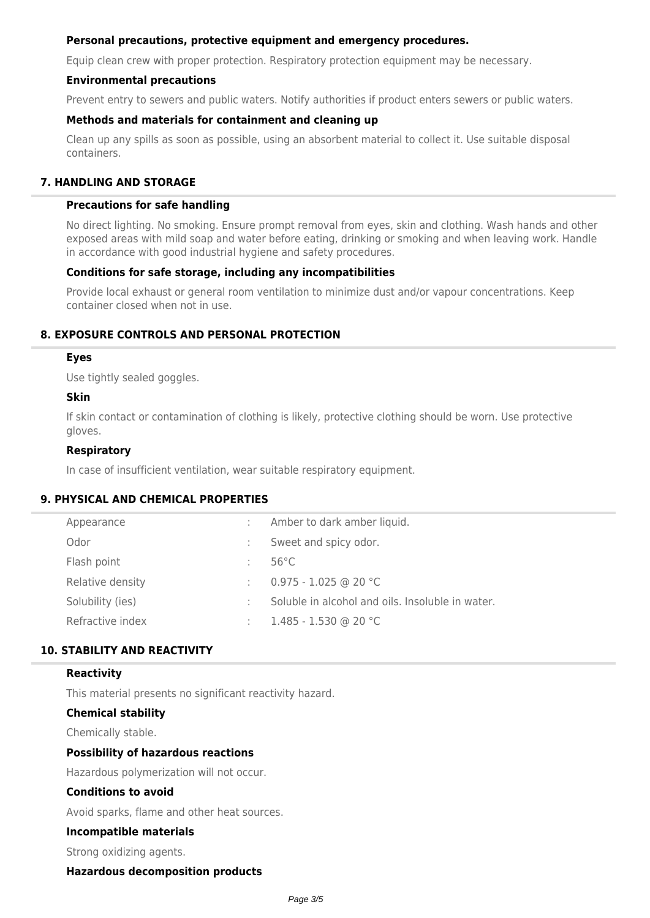## **Personal precautions, protective equipment and emergency procedures.**

Equip clean crew with proper protection. Respiratory protection equipment may be necessary.

## **Environmental precautions**

Prevent entry to sewers and public waters. Notify authorities if product enters sewers or public waters.

## **Methods and materials for containment and cleaning up**

Clean up any spills as soon as possible, using an absorbent material to collect it. Use suitable disposal containers.

## **7. HANDLING AND STORAGE**

### **Precautions for safe handling**

No direct lighting. No smoking. Ensure prompt removal from eyes, skin and clothing. Wash hands and other exposed areas with mild soap and water before eating, drinking or smoking and when leaving work. Handle in accordance with good industrial hygiene and safety procedures.

### **Conditions for safe storage, including any incompatibilities**

Provide local exhaust or general room ventilation to minimize dust and/or vapour concentrations. Keep container closed when not in use.

## **8. EXPOSURE CONTROLS AND PERSONAL PROTECTION**

### **Eyes**

Use tightly sealed goggles.

### **Skin**

If skin contact or contamination of clothing is likely, protective clothing should be worn. Use protective gloves.

## **Respiratory**

In case of insufficient ventilation, wear suitable respiratory equipment.

## **9. PHYSICAL AND CHEMICAL PROPERTIES**

| Appearance       |   | Amber to dark amber liquid.                      |
|------------------|---|--------------------------------------------------|
| Odor             | ÷ | Sweet and spicy odor.                            |
| Flash point      |   | $56^{\circ}$ C                                   |
| Relative density |   | $0.975 - 1.025$ @ 20 °C                          |
| Solubility (ies) |   | Soluble in alcohol and oils. Insoluble in water. |
| Refractive index | ÷ | $1.485 - 1.530$ @ 20 °C                          |

# **10. STABILITY AND REACTIVITY**

#### **Reactivity**

This material presents no significant reactivity hazard.

#### **Chemical stability**

Chemically stable.

## **Possibility of hazardous reactions**

Hazardous polymerization will not occur.

### **Conditions to avoid**

Avoid sparks, flame and other heat sources.

### **Incompatible materials**

Strong oxidizing agents.

## **Hazardous decomposition products**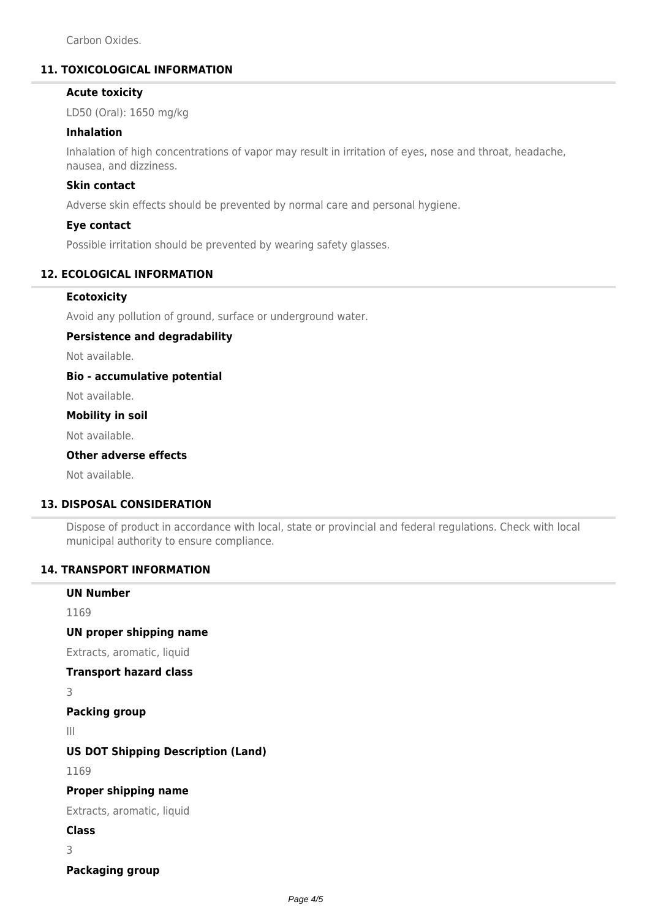Carbon Oxides.

# **11. TOXICOLOGICAL INFORMATION**

# **Acute toxicity**

LD50 (Oral): 1650 mg/kg

## **Inhalation**

Inhalation of high concentrations of vapor may result in irritation of eyes, nose and throat, headache, nausea, and dizziness.

# **Skin contact**

Adverse skin effects should be prevented by normal care and personal hygiene.

### **Eye contact**

Possible irritation should be prevented by wearing safety glasses.

# **12. ECOLOGICAL INFORMATION**

# **Ecotoxicity**

Avoid any pollution of ground, surface or underground water.

## **Persistence and degradability**

Not available.

## **Bio - accumulative potential**

Not available.

# **Mobility in soil**

Not available.

# **Other adverse effects**

Not available.

## **13. DISPOSAL CONSIDERATION**

Dispose of product in accordance with local, state or provincial and federal regulations. Check with local municipal authority to ensure compliance.

## **14. TRANSPORT INFORMATION**

| <b>UN Number</b>                          |
|-------------------------------------------|
| 1169                                      |
| UN proper shipping name                   |
| Extracts, aromatic, liquid                |
| <b>Transport hazard class</b>             |
| 3                                         |
| <b>Packing group</b>                      |
| $\parallel$                               |
| <b>US DOT Shipping Description (Land)</b> |
| 1169                                      |
| <b>Proper shipping name</b>               |
| Extracts, aromatic, liquid                |
| Class                                     |
| 3                                         |
| <b>Packaging group</b>                    |